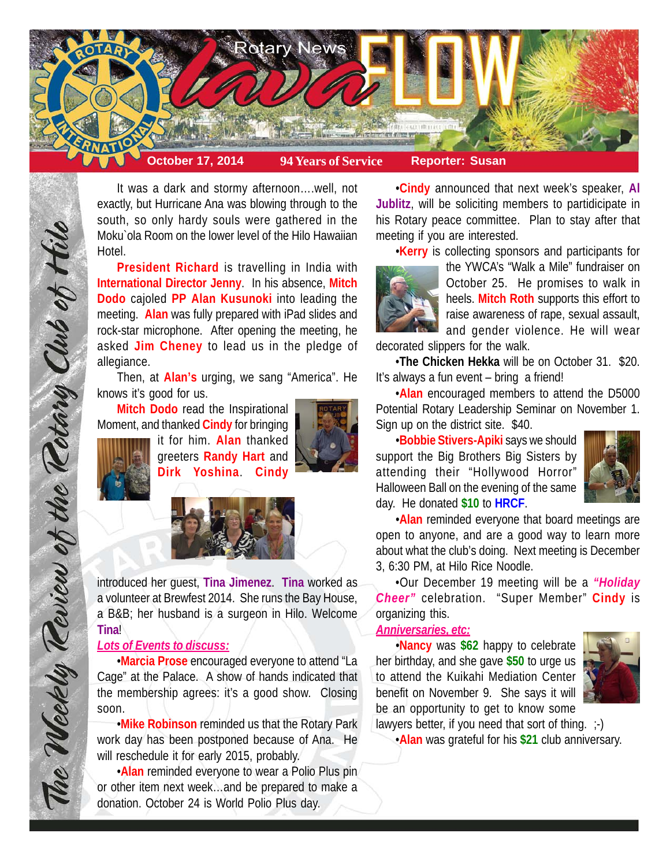

It was a dark and stormy afternoon….well, not exactly, but Hurricane Ana was blowing through to the south, so only hardy souls were gathered in the Moku`ola Room on the lower level of the Hilo Hawaiian Hotel.

**President Richard** is travelling in India with **International Director Jenny**. In his absence, **Mitch Dodo** cajoled **PP Alan Kusunoki** into leading the meeting. **Alan** was fully prepared with iPad slides and rock-star microphone. After opening the meeting, he asked **Jim Cheney** to lead us in the pledge of allegiance.

Then, at **Alan's** urging, we sang "America". He knows it's good for us.

**Mitch Dodo** read the Inspirational Moment, and thanked **Cindy** for bringing



The Weekly Teview of the Tetary Club of Hilo

it for him. **Alan** thanked greeters **Randy Hart** and **Dirk Yoshina**. **Cindy**





introduced her guest, **Tina Jimenez**. **Tina** worked as a volunteer at Brewfest 2014. She runs the Bay House, a B&B; her husband is a surgeon in Hilo. Welcome **Tina**!

# *Lots of Events to discuss:*

•**Marcia Prose** encouraged everyone to attend "La Cage" at the Palace. A show of hands indicated that the membership agrees: it's a good show. Closing soon.

•**Mike Robinson** reminded us that the Rotary Park work day has been postponed because of Ana. He will reschedule it for early 2015, probably.

•**Alan** reminded everyone to wear a Polio Plus pin or other item next week…and be prepared to make a donation. October 24 is World Polio Plus day.

•**Cindy** announced that next week's speaker, **Al Jublitz**, will be soliciting members to partidicipate in his Rotary peace committee. Plan to stay after that meeting if you are interested.

•**Kerry** is collecting sponsors and participants for



the YWCA's "Walk a Mile" fundraiser on October 25. He promises to walk in heels. **Mitch Roth** supports this effort to raise awareness of rape, sexual assault, and gender violence. He will wear

decorated slippers for the walk.

•**The Chicken Hekka** will be on October 31. \$20. It's always a fun event – bring a friend!

•**Alan** encouraged members to attend the D5000 Potential Rotary Leadership Seminar on November 1. Sign up on the district site. \$40.

•**Bobbie Stivers-Apiki** says we should support the Big Brothers Big Sisters by attending their "Hollywood Horror" Halloween Ball on the evening of the same day. He donated **\$10** to **HRCF**.



•**Alan** reminded everyone that board meetings are open to anyone, and are a good way to learn more about what the club's doing. Next meeting is December 3, 6:30 PM, at Hilo Rice Noodle.

•Our December 19 meeting will be a *"Holiday Cheer"* celebration. "Super Member" **Cindy** is organizing this.

# *Anniversaries, etc:*

•**Nancy** was **\$62** happy to celebrate her birthday, and she gave **\$50** to urge us to attend the Kuikahi Mediation Center benefit on November 9. She says it will be an opportunity to get to know some



lawyers better, if you need that sort of thing.  $\div$ ) •**Alan** was grateful for his **\$21** club anniversary.